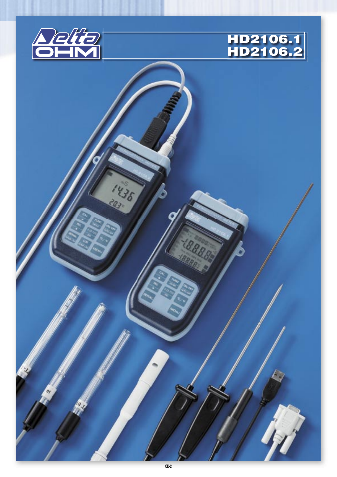



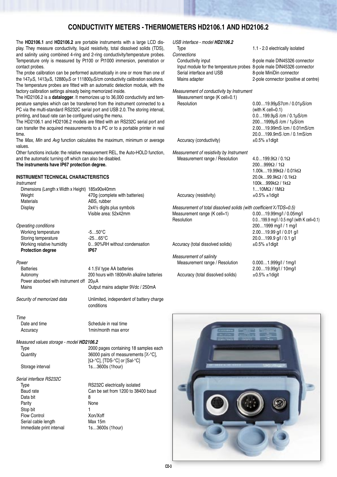# **CONDUCTIVITY METERS - THERMOMETERS HD2106.1 AND HD2106.2**

The **HD2106.1** and **HD2106.2** are portable instruments with a large LCD display. They measure conductivity, liquid resistivity, total dissolved solids (TDS), and salinity using combined 4-ring and 2-ring conductivity/temperature probes. Temperature only is measured by Pt100 or Pt1000 immersion, penetration or contact probes.

The probe calibration can be performed automatically in one or more than one of the 147μS, 1413μS, 12880μS or 111800μS/cm conductivity calibration solutions. The temperature probes are fitted with an automatic detection module, with the factory calibration settings already being memorized inside.

The HD2106.2 is a **datalogger**. It memorizes up to 36,000 conductivity and temperature samples which can be transferred from the instrument connected to a PC via the multi-standard RS232C serial port and USB 2.0. The storing interval, printing, and baud rate can be configured using the menu.

The HD2106.1 and HD2106.2 models are fitted with an RS232C serial port and can transfer the acquired measurements to a PC or to a portable printer in real time.

The Max, Min and Avg function calculates the maximum, minimum or average values.

Other functions include: the relative measurement REL, the Auto-HOLD function, and the automatic turning off which can also be disabled. **The instruments have IP67 protection degree.**

**INSTRUMENT TECHNICAL CHARACTERISTICS**

| Instrument                                       |                                        |
|--------------------------------------------------|----------------------------------------|
| Dimensions (Length x Width x Height) 185x90x40mm |                                        |
| Weight                                           | 470g (complete with batteries)         |
| <b>Materials</b>                                 | ABS, rubber                            |
| Display                                          | 2x41/ <sub>2</sub> digits plus symbols |
|                                                  | Visible area: 52x42mm                  |
|                                                  |                                        |
| Onarating conditions                             |                                        |

Operating conditions Working temperature -5...50°C Storing temperature -25...65°C<br>Working relative humidity 0...90%RF **Protection degree IP67**

#### **Power**

Batteries 4 1.5V type AA batteries Autonomy 200 hours with 1800mAh alkaline batteries Power absorbed with instrument off 20μA Mains Output mains adapter 9Vdc / 250mA

Security of memorized data Unlimited, independent of battery charge

Time

Date and time Schedule in real time Accuracy 1min/month max error

Measured values storage - model **HD2106.2**

Serial interface RS232C Data bit 8 Parity **None** Stop bit 1 Flow Control Xon/Xoff Serial cable length Max 15m Immediate print interval 1s...3600s (1hour)

Type 2000 pages containing 18 samples each Quantity 36000 pairs of measurements [χ-°C], [Ω-°C], [TDS-°C] or [Sal-°C] Storage interval 1s...3600s (1hour)

0...90%RH without condensation

conditions

Type **RS232C** electrically isolated Baud rate Can be set from 1200 to 38400 baud

| USB interface - model HD2106.2 |                                 |
|--------------------------------|---------------------------------|
| Type                           | 1.1 - 2.0 electrically isolated |

Connections<br>Conductivity input Input module for the temperature probes 8-pole male DIN45326 connector Serial interface and USB 8-pole MiniDin connector Mains adapter 2-pole connector (positive at centre)

Measurement of conductivity by Instrument Measurement range (K cell=0.1) Resolution 0.00…19.99µS7cm / 0.01µS/cm

(with K cell=0.1) 0.0…199.9µS /cm / 0.1µS/cm

Accuracy (conductivity)  $\pm 0.5\% \pm 1$ digit

Measurement of resistivity by Instrument Measurement range / Resolution 4.0…199.9Ω / 0.1Ω

 200…999Ω / 1Ω 1.00k…19.99kΩ / 0.01kΩ 20.0k…99.9kΩ / 0.1kΩ 100k…999kΩ / 1kΩ 1…10MΩ / 1MΩ Accuracy (resistivity)  $\pm 0.5\% \pm 1$ digit

 200…1999µS /cm / 1µS/cm 2.00…19.99mS /cm / 0.01mS/cm 20.0…199.9mS /cm / 0.1mS/cm

8-pole male DIN45326 connector

Measurement of total dissolved solids (with coefficient X/TDS=0.5)<br>Measurement range (K cell=1) 0.00...19.99mg/l / 0.05mg/l Measurement range (K cell=1). Resolution 0.0…199.9 mg/l / 0.5 mg/l (with K cell=0.1) 200…1999 mg/l / 1 mg/l

Accuracy (total dissolved solids)  $±0.5\% ±1$ digit

Measurement of salinity Measurement range / Resolution 0.000…1.999g/l / 1mg/l Accuracy (total dissolved solids)  $\pm 0.5\% \pm 1$ digit

 2.00…19.99 g/l / 0.01 g/l 20.0…199.9 g/l / 0.1 g/l

2.00…19.99g/l / 10mg/l

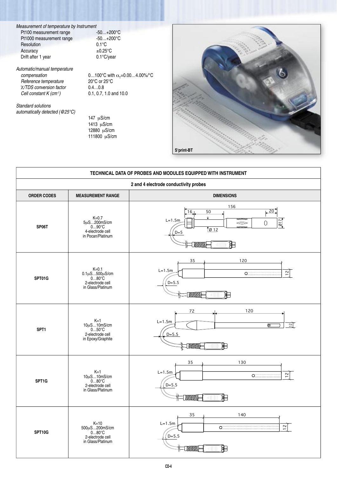Measurement of temperature by Instrument<br>Pt100 measurement range -50...+200°C Pt100 measurement range Pt1000 measurement range -50...+200°C<br>Resolution 0.1°C Resolution Accuracy  $\pm 0.25^{\circ}$ C<br>Drift after 1 year 0.1°C/year Drift after 1 year

Automatic/manual temperature compensation  $0...100^{\circ}$ C with  $\alpha_{\tau}$ =0.00...4.00%/°C Reference temperature 20°C or 25°C<br>  $\chi/TDS$  conversion factor 0.4...0.8  $\chi/TDS$  conversion factor  $0.4...0.8$ <br>Cell constant K (cm<sup>-1</sup>)  $0.1, 0.7, 1.0$  and 10.0 Cell constant  $K$  (cm<sup>-1</sup>)

Standard solutions automatically detected (@25°C)

 147 μS/cm  $1413 \text{ }\mu\text{S/cm}$  $12880 \mu$ S/cm 111800 μS/cm



| TECHNICAL DATA OF PROBES AND MODULES EQUIPPED WITH INSTRUMENT |                                                                                                 |                                                                                                                                                                                                                                                                                                                    |  |  |
|---------------------------------------------------------------|-------------------------------------------------------------------------------------------------|--------------------------------------------------------------------------------------------------------------------------------------------------------------------------------------------------------------------------------------------------------------------------------------------------------------------|--|--|
| 2 and 4 electrode conductivity probes                         |                                                                                                 |                                                                                                                                                                                                                                                                                                                    |  |  |
| <b>ORDER CODES</b>                                            | <b>MEASUREMENT RANGE</b>                                                                        | <b>DIMENSIONS</b>                                                                                                                                                                                                                                                                                                  |  |  |
| SP06T                                                         | $K=0.7$<br>$5\mu$ S200mS/cm<br>090°C<br>4-electrode cell<br>in Pocan/Platinum                   | 156<br>$\overline{20}$<br>16<br>50<br>$\downarrow$<br>$L=1.5m$<br>$\overline{\mathcal{O}}$<br>0<br>=<br>$\sqrt{012}$<br>$D=5$<br><b>ENNONNIE</b><br>di L                                                                                                                                                           |  |  |
| SPT01G                                                        | $K=0.1$<br>$0.1 \mu S 500 \mu S/cm$<br>$0 80^{\circ}C$<br>2-electrode cell<br>in Glass/Platinum | 35<br>120<br>$L=1.5m$<br>$\circ$ . The set of $\circ$<br>$\overline{1}$<br>$D = 5.5$<br><b>EXXXXXIII</b>                                                                                                                                                                                                           |  |  |
| SPT1                                                          | $K=1$<br>$10\mu$ S10mS/cm<br>050°C<br>2-electrode cell<br>in Epoxy/Graphite                     | 120<br>72<br>$L=1.5m$<br>$\frac{12}{2}$<br>⋴<br>$D = 5.5$<br><b>MANANT</b><br>⊟<br>TI.                                                                                                                                                                                                                             |  |  |
| SPT1G                                                         | $K=1$<br>$10\mu$ S10mS/cm<br>080°C<br>2-electrode cell<br>in Glass/Platinum                     | 35<br>130<br>$L=1.5m$<br>$\overline{1}$<br>$D = 5.5$<br><b>MMMM</b><br>$\left(\begin{matrix} 0 \\ 0 \\ 0 \end{matrix}\right) \left[\begin{matrix} 0 \\ 0 \\ 0 \end{matrix}\right] \left[\begin{matrix} 0 \\ 0 \\ 0 \end{matrix}\right]$<br>⊨                                                                       |  |  |
| SPT10G                                                        | $K=10$<br>500µS200mS/cm<br>080°C<br>2-electrode cell<br>in Glass/Platinum                       | 35<br>140<br>$L=1.5m$<br>$\overline{12}$<br>$\sigma$ . The continuum continuum continuum continuum continuum continuum continuum continuum continuum continuum continuum continuum continuum continuum continuum continuum continuum continuum continuum continuum continuum<br>$D = 5.5$<br><b>TAXAANE</b><br>CH. |  |  |